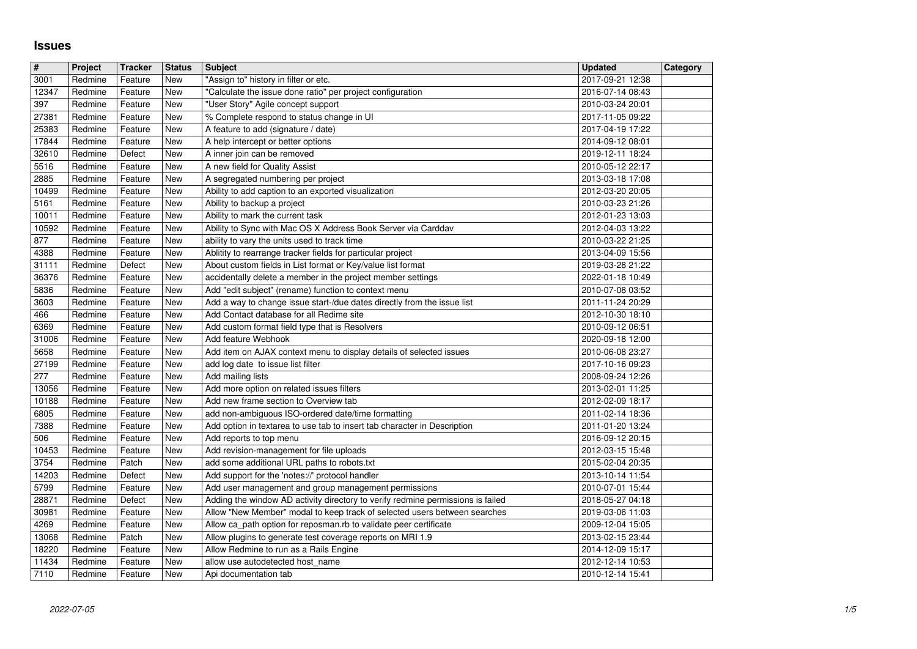## **Issues**

| $\sqrt{t}$             | Project            | <b>Tracker</b>     | <b>Status</b>            | <b>Subject</b>                                                                                                                  | <b>Updated</b>                       | Category |
|------------------------|--------------------|--------------------|--------------------------|---------------------------------------------------------------------------------------------------------------------------------|--------------------------------------|----------|
| 3001                   | Redmine            | Feature            | New                      | "Assign to" history in filter or etc.                                                                                           | 2017-09-21 12:38                     |          |
| 12347<br>397           | Redmine<br>Redmine | Feature<br>Feature | <b>New</b><br>New        | "Calculate the issue done ratio" per project configuration<br>"User Story" Agile concept support                                | 2016-07-14 08:43<br>2010-03-24 20:01 |          |
| 27381                  | Redmine            | Feature            | New                      | % Complete respond to status change in UI                                                                                       | 2017-11-05 09:22                     |          |
| 25383                  | Redmine            | Feature            | <b>New</b>               | A feature to add (signature / date)                                                                                             | 2017-04-19 17:22                     |          |
| 17844                  | Redmine            | Feature            | New                      | A help intercept or better options                                                                                              | 2014-09-12 08:01                     |          |
| 32610<br>5516          | Redmine<br>Redmine | Defect<br>Feature  | <b>New</b><br>New        | A inner join can be removed<br>A new field for Quality Assist                                                                   | 2019-12-11 18:24<br>2010-05-12 22:17 |          |
| 2885                   | Redmine            | Feature            | New                      | A segregated numbering per project                                                                                              | 2013-03-18 17:08                     |          |
| 10499                  | Redmine            | Feature            | New                      | Ability to add caption to an exported visualization                                                                             | 2012-03-20 20:05                     |          |
| 5161                   | Redmine            | Feature            | New                      | Ability to backup a project                                                                                                     | 2010-03-23 21:26                     |          |
| 10011<br>10592         | Redmine<br>Redmine | Feature            | New<br>New               | Ability to mark the current task                                                                                                | 2012-01-23 13:03<br>2012-04-03 13:22 |          |
| 877                    | Redmine            | Feature<br>Feature | <b>New</b>               | Ability to Sync with Mac OS X Address Book Server via Carddav<br>ability to vary the units used to track time                   | 2010-03-22 21:25                     |          |
| 4388                   | Redmine            | Feature            | New                      | Ablitity to rearrange tracker fields for particular project                                                                     | 2013-04-09 15:56                     |          |
| 31111                  | Redmine            | Defect             | <b>New</b>               | About custom fields in List format or Key/value list format                                                                     | 2019-03-28 21:22                     |          |
| 36376<br>5836          | Redmine<br>Redmine | Feature            | New<br>New               | accidentally delete a member in the project member settings                                                                     | 2022-01-18 10:49<br>2010-07-08 03:52 |          |
| 3603                   | Redmine            | Feature<br>Feature | <b>New</b>               | Add "edit subject" (rename) function to context menu<br>Add a way to change issue start-/due dates directly from the issue list | 2011-11-24 20:29                     |          |
| 466                    | Redmine            | Feature            | New                      | Add Contact database for all Redime site                                                                                        | 2012-10-30 18:10                     |          |
| 6369                   | Redmine            | Feature            | New                      | Add custom format field type that is Resolvers                                                                                  | 2010-09-12 06:51                     |          |
| 31006<br>5658          | Redmine<br>Redmine | Feature<br>Feature | New<br>New               | Add feature Webhook<br>Add item on AJAX context menu to display details of selected issues                                      | 2020-09-18 12:00<br>2010-06-08 23:27 |          |
| 27199                  | Redmine            | Feature            | New                      | add log date to issue list filter                                                                                               | 2017-10-16 09:23                     |          |
| 277                    | Redmine            | Feature            | New                      | Add mailing lists                                                                                                               | 2008-09-24 12:26                     |          |
| 13056                  | Redmine            | Feature            | New                      | Add more option on related issues filters                                                                                       | 2013-02-01 11:25                     |          |
| 10188                  | Redmine            | Feature            | New                      | Add new frame section to Overview tab                                                                                           | 2012-02-09 18:17                     |          |
| 6805<br>7388           | Redmine<br>Redmine | Feature<br>Feature | New<br>New               | add non-ambiguous ISO-ordered date/time formatting<br>Add option in textarea to use tab to insert tab character in Description  | 2011-02-14 18:36<br>2011-01-20 13:24 |          |
| 506                    | Redmine            | Feature            | New                      | Add reports to top menu                                                                                                         | 2016-09-12 20:15                     |          |
| 10453                  | Redmine            | Feature            | New                      | Add revision-management for file uploads                                                                                        | 2012-03-15 15:48                     |          |
| 3754<br>14203          | Redmine            | Patch              | <b>New</b><br><b>New</b> | add some additional URL paths to robots.txt                                                                                     | 2015-02-04 20:35                     |          |
| 5799                   | Redmine<br>Redmine | Defect<br>Feature  | New                      | Add support for the 'notes://' protocol handler<br>Add user management and group management permissions                         | 2013-10-14 11:54<br>2010-07-01 15:44 |          |
| 28871                  | Redmine            | Defect             | New                      | Adding the window AD activity directory to verify redmine permissions is failed                                                 | 2018-05-27 04:18                     |          |
| 30981                  | Redmine            | Feature            | New                      | Allow "New Member" modal to keep track of selected users between searches                                                       | 2019-03-06 11:03                     |          |
| 4269<br>13068          | Redmine<br>Redmine | Feature<br>Patch   | New<br>New               | Allow ca_path option for reposman.rb to validate peer certificate<br>Allow plugins to generate test coverage reports on MRI 1.9 | 2009-12-04 15:05<br>2013-02-15 23:44 |          |
| 18220                  | Redmine            | Feature            | New                      | Allow Redmine to run as a Rails Engine                                                                                          | 2014-12-09 15:17                     |          |
| 11434<br>$\sqrt{7110}$ | Redmine            | Feature<br>Feature | New                      | allow use autodetected host_name                                                                                                | 2012-12-14 10:53                     |          |
|                        |                    |                    |                          |                                                                                                                                 |                                      |          |
|                        |                    |                    |                          |                                                                                                                                 |                                      |          |
|                        |                    |                    |                          |                                                                                                                                 |                                      |          |
|                        |                    |                    |                          |                                                                                                                                 |                                      |          |
|                        |                    |                    |                          |                                                                                                                                 |                                      |          |
|                        |                    |                    |                          |                                                                                                                                 |                                      |          |
|                        |                    |                    |                          |                                                                                                                                 |                                      |          |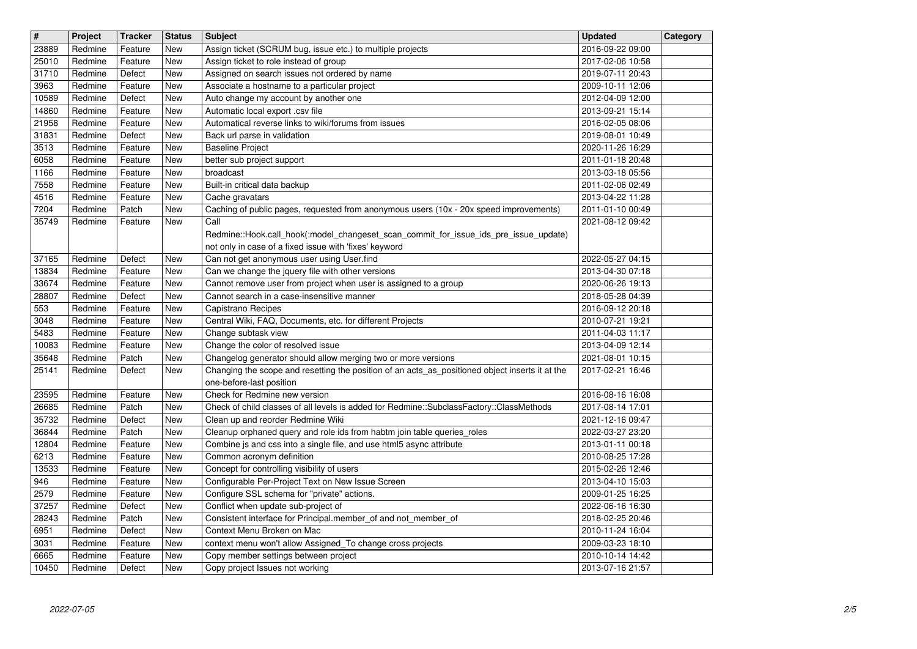| $\overline{\mathbf{H}}$   | Project            | <b>Tracker</b>     | <b>Status</b>     | <b>Subject</b>                                                                                                                                 | <b>Updated</b>                       | Category |
|---------------------------|--------------------|--------------------|-------------------|------------------------------------------------------------------------------------------------------------------------------------------------|--------------------------------------|----------|
| 23889<br>25010            | Redmine<br>Redmine | Feature<br>Feature | <b>New</b><br>New | Assign ticket (SCRUM bug, issue etc.) to multiple projects<br>Assign ticket to role instead of group                                           | 2016-09-22 09:00<br>2017-02-06 10:58 |          |
| 31710                     | Redmine            | Defect             | New               | Assigned on search issues not ordered by name                                                                                                  | 2019-07-11 20:43                     |          |
| 3963                      | Redmine            | Feature            | New               | Associate a hostname to a particular project                                                                                                   | 2009-10-11 12:06                     |          |
| 10589<br>14860            | Redmine<br>Redmine | Defect<br>Feature  | New<br><b>New</b> | Auto change my account by another one<br>Automatic local export .csv file                                                                      | 2012-04-09 12:00<br>2013-09-21 15:14 |          |
| 21958                     | Redmine            | Feature            | New               | Automatical reverse links to wiki/forums from issues                                                                                           | 2016-02-05 08:06                     |          |
| 31831<br>$\frac{1}{3513}$ | Redmine            | Defect             | New               | Back url parse in validation                                                                                                                   | 2019-08-01 10:49                     |          |
| 6058                      | Redmine<br>Redmine | Feature<br>Feature | New<br>New        | <b>Baseline Project</b><br>better sub project support                                                                                          | 2020-11-26 16:29<br>2011-01-18 20:48 |          |
| 1166                      | Redmine            | Feature            | New               | broadcast                                                                                                                                      | 2013-03-18 05:56                     |          |
| 7558<br>4516              | Redmine<br>Redmine | Feature<br>Feature | <b>New</b><br>New | Built-in critical data backup<br>Cache gravatars                                                                                               | 2011-02-06 02:49<br>2013-04-22 11:28 |          |
| 7204                      | Redmine            | Patch              | <b>New</b>        | Caching of public pages, requested from anonymous users (10x - 20x speed improvements)                                                         | 2011-01-10 00:49                     |          |
| 35749                     | Redmine            | Feature            | New               | Call                                                                                                                                           | 2021-08-12 09:42                     |          |
|                           |                    |                    |                   | Redmine::Hook.call_hook(:model_changeset_scan_commit_for_issue_ids_pre_issue_update)<br>not only in case of a fixed issue with 'fixes' keyword |                                      |          |
| 37165                     | Redmine            | Defect             | New               | Can not get anonymous user using User.find                                                                                                     | 2022-05-27 04:15                     |          |
| 13834                     | Redmine            | Feature            | New               | Can we change the jquery file with other versions                                                                                              | 2013-04-30 07:18                     |          |
| 33674<br>28807            | Redmine<br>Redmine | Feature<br>Defect  | New<br>New        | Cannot remove user from project when user is assigned to a group<br>Cannot search in a case-insensitive manner                                 | 2020-06-26 19:13<br>2018-05-28 04:39 |          |
| 553                       | Redmine            | Feature            | New               | Capistrano Recipes                                                                                                                             | 2016-09-12 20:18                     |          |
| 3048<br>5483              | Redmine<br>Redmine | Feature<br>Feature | New<br>New        | Central Wiki, FAQ, Documents, etc. for different Projects<br>Change subtask view                                                               | 2010-07-21 19:21<br>2011-04-03 11:17 |          |
| 10083                     | Redmine            | Feature            | New               | Change the color of resolved issue                                                                                                             | 2013-04-09 12:14                     |          |
| 35648                     | Redmine            | Patch              | New               | Changelog generator should allow merging two or more versions                                                                                  | 2021-08-01 10:15                     |          |
| 25141                     | Redmine            | Defect             | New               | Changing the scope and resetting the position of an acts_as_positioned object inserts it at the<br>one-before-last position                    | 2017-02-21 16:46                     |          |
| 23595                     | Redmine            | Feature            | New               | Check for Redmine new version                                                                                                                  | 2016-08-16 16:08                     |          |
| 26685                     | Redmine            | Patch              | <b>New</b>        | Check of child classes of all levels is added for Redmine::SubclassFactory::ClassMethods                                                       | 2017-08-14 17:01                     |          |
| 35732<br>36844            | Redmine<br>Redmine | Defect<br>Patch    | New<br>New        | Clean up and reorder Redmine Wiki<br>Cleanup orphaned query and role ids from habtm join table queries_roles                                   | 2021-12-16 09:47<br>2022-03-27 23:20 |          |
| 12804                     | Redmine            | Feature            | <b>New</b>        | Combine js and css into a single file, and use html5 async attribute                                                                           | 2013-01-11 00:18                     |          |
| 6213                      | Redmine            | Feature            | New               | Common acronym definition                                                                                                                      | 2010-08-25 17:28                     |          |
| 13533<br>946              | Redmine<br>Redmine | Feature<br>Feature | New<br>New        | Concept for controlling visibility of users<br>Configurable Per-Project Text on New Issue Screen                                               | 2015-02-26 12:46<br>2013-04-10 15:03 |          |
| 2579                      | Redmine            | Feature            | New               | Configure SSL schema for "private" actions.                                                                                                    | 2009-01-25 16:25                     |          |
| 37257                     | Redmine<br>Redmine | Defect             | New               | Conflict when update sub-project of                                                                                                            | 2022-06-16 16:30                     |          |
| 28243<br>6951             | Redmine            | Patch<br>Defect    | New<br>New        | Consistent interface for Principal.member_of and not_member_of<br>Context Menu Broken on Mac                                                   | 2018-02-25 20:46<br>2010-11-24 16:04 |          |
| 3031                      | Redmine            | Feature            | New               | context menu won't allow Assigned_To change cross projects                                                                                     | 2009-03-23 18:10                     |          |
| 6665<br>10450             | Redmine<br>Redmine | Feature<br>Defect  | New<br>New        | Copy member settings between project<br>Copy project Issues not working                                                                        | 2010-10-14 14:42<br>2013-07-16 21:57 |          |
|                           |                    |                    |                   |                                                                                                                                                |                                      |          |
|                           |                    |                    |                   |                                                                                                                                                |                                      |          |
|                           |                    |                    |                   |                                                                                                                                                |                                      |          |
|                           |                    |                    |                   |                                                                                                                                                |                                      |          |
|                           |                    |                    |                   |                                                                                                                                                |                                      |          |
|                           |                    |                    |                   |                                                                                                                                                |                                      |          |
|                           |                    |                    |                   |                                                                                                                                                |                                      |          |
|                           |                    |                    |                   |                                                                                                                                                |                                      |          |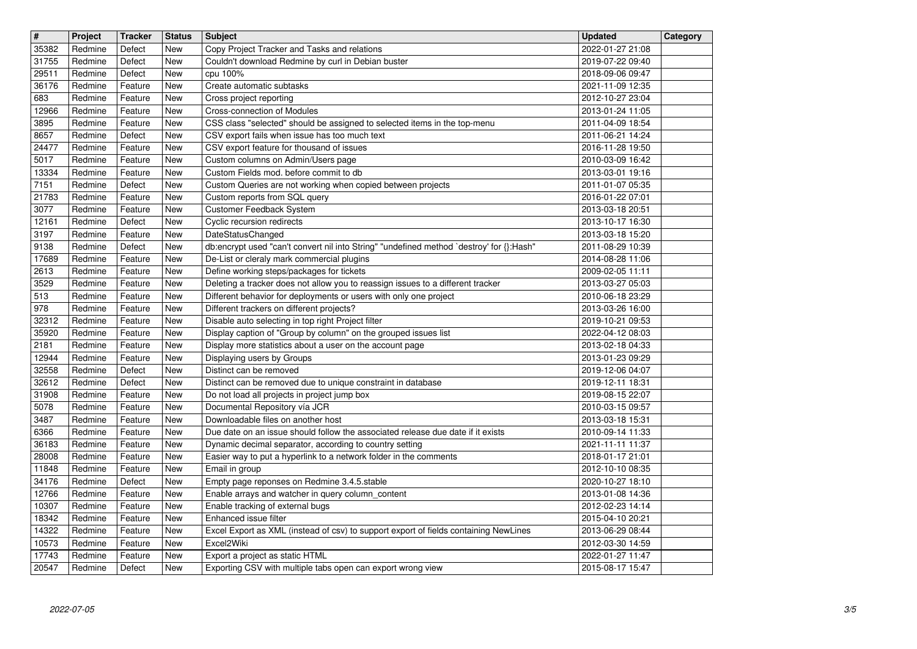| $\overline{\boldsymbol{H}}$ | Project            | <b>Tracker</b>     | <b>Status</b>     | <b>Subject</b>                                                                                                              | <b>Updated</b><br>2022-01-27 21:08   | Category |
|-----------------------------|--------------------|--------------------|-------------------|-----------------------------------------------------------------------------------------------------------------------------|--------------------------------------|----------|
| 35382<br>31755              | Redmine<br>Redmine | Defect<br>Defect   | New<br>New        | Copy Project Tracker and Tasks and relations<br>Couldn't download Redmine by curl in Debian buster                          | 2019-07-22 09:40                     |          |
| 29511<br>36176              | Redmine<br>Redmine | Defect<br>Feature  | New<br>New        | cpu 100%<br>Create automatic subtasks                                                                                       | 2018-09-06 09:47<br>2021-11-09 12:35 |          |
| 683                         | Redmine            | Feature            | New               | Cross project reporting                                                                                                     | 2012-10-27 23:04                     |          |
| 12966<br>3895               | Redmine<br>Redmine | Feature<br>Feature | New<br>New        | <b>Cross-connection of Modules</b><br>CSS class "selected" should be assigned to selected items in the top-menu             | 2013-01-24 11:05<br>2011-04-09 18:54 |          |
| 8657                        | Redmine            | Defect             | New               | CSV export fails when issue has too much text                                                                               | 2011-06-21 14:24                     |          |
| 24477<br>5017               | Redmine<br>Redmine | Feature<br>Feature | New<br>New        | CSV export feature for thousand of issues<br>Custom columns on Admin/Users page                                             | 2016-11-28 19:50<br>2010-03-09 16:42 |          |
| 13334                       | Redmine            | Feature            | New               | Custom Fields mod, before commit to db                                                                                      | 2013-03-01 19:16                     |          |
| 7151<br>21783               | Redmine<br>Redmine | Defect<br>Feature  | <b>New</b><br>New | Custom Queries are not working when copied between projects                                                                 | 2011-01-07 05:35<br>2016-01-22 07:01 |          |
| 3077                        | Redmine            | Feature            | New               | Custom reports from SQL query<br>Customer Feedback System                                                                   | 2013-03-18 20:51                     |          |
| 12161<br>3197               | Redmine<br>Redmine | Defect<br>Feature  | New<br>New        | Cyclic recursion redirects<br>DateStatusChanged                                                                             | 2013-10-17 16:30<br>2013-03-18 15:20 |          |
| 9138                        | Redmine            | Defect             | New               | db:encrypt used "can't convert nil into String" "undefined method `destroy' for {}:Hash"                                    | 2011-08-29 10:39                     |          |
| 17689<br>2613               | Redmine<br>Redmine | Feature<br>Feature | New<br>New        | De-List or cleraly mark commercial plugins<br>Define working steps/packages for tickets                                     | 2014-08-28 11:06<br>2009-02-05 11:11 |          |
| 3529                        | Redmine            | Feature            | New               | Deleting a tracker does not allow you to reassign issues to a different tracker                                             | 2013-03-27 05:03                     |          |
| 513<br>978                  | Redmine<br>Redmine | Feature<br>Feature | <b>New</b><br>New | Different behavior for deployments or users with only one project<br>Different trackers on different projects?              | 2010-06-18 23:29<br>2013-03-26 16:00 |          |
| 32312                       | Redmine            | Feature            | New               | Disable auto selecting in top right Project filter                                                                          | 2019-10-21 09:53                     |          |
| 35920<br>2181               | Redmine<br>Redmine | Feature<br>Feature | New<br>New        | Display caption of "Group by column" on the grouped issues list<br>Display more statistics about a user on the account page | 2022-04-12 08:03<br>2013-02-18 04:33 |          |
| 12944                       | Redmine            | Feature            | New               | Displaying users by Groups                                                                                                  | 2013-01-23 09:29                     |          |
| 32558<br>32612              | Redmine<br>Redmine | Defect<br>Defect   | New<br>New        | Distinct can be removed<br>Distinct can be removed due to unique constraint in database                                     | 2019-12-06 04:07<br>2019-12-11 18:31 |          |
| 31908                       | Redmine            | Feature            | New               | Do not load all projects in project jump box                                                                                | 2019-08-15 22:07                     |          |
| 5078<br>3487                | Redmine<br>Redmine | Feature<br>Feature | <b>New</b><br>New | Documental Repository vía JCR<br>Downloadable files on another host                                                         | 2010-03-15 09:57<br>2013-03-18 15:31 |          |
| 6366                        | Redmine            | Feature            | New               | Due date on an issue should follow the associated release due date if it exists                                             | 2010-09-14 11:33                     |          |
| 36183                       | Redmine            | Feature            | New               | Dynamic decimal separator, according to country setting                                                                     | 2021-11-11 11:37                     |          |
| 28008<br>11848              | Redmine<br>Redmine | Feature<br>Feature | New<br>New        | Easier way to put a hyperlink to a network folder in the comments<br>Email in group                                         | 2018-01-17 21:01<br>2012-10-10 08:35 |          |
| 34176                       | Redmine            | Defect             | New               | Empty page reponses on Redmine 3.4.5.stable                                                                                 | 2020-10-27 18:10                     |          |
| 12766<br>10307              | Redmine<br>Redmine | Feature<br>Feature | New<br>New        | Enable arrays and watcher in query column_content<br>Enable tracking of external bugs                                       | 2013-01-08 14:36<br>2012-02-23 14:14 |          |
| 18342                       | Redmine            | Feature            | New               | Enhanced issue filter                                                                                                       | 2015-04-10 20:21                     |          |
| 14322<br>10573              | Redmine<br>Redmine | Feature<br>Feature | New<br>New        | Excel Export as XML (instead of csv) to support export of fields containing NewLines<br>Excel2Wiki                          | 2013-06-29 08:44<br>2012-03-30 14:59 |          |
| 17743<br>20547              | Redmine<br>Redmine | Feature<br>Defect  | New<br>New        | Export a project as static HTML<br>Exporting CSV with multiple tabs open can export wrong view                              | 2022-01-27 11:47<br>2015-08-17 15:47 |          |
|                             |                    |                    |                   |                                                                                                                             |                                      |          |
|                             |                    |                    |                   |                                                                                                                             |                                      |          |
|                             |                    |                    |                   |                                                                                                                             |                                      |          |
|                             |                    |                    |                   |                                                                                                                             |                                      |          |
|                             |                    |                    |                   |                                                                                                                             |                                      |          |
|                             |                    |                    |                   |                                                                                                                             |                                      |          |
|                             |                    |                    |                   |                                                                                                                             |                                      |          |
|                             |                    |                    |                   |                                                                                                                             |                                      |          |
|                             |                    |                    |                   |                                                                                                                             |                                      |          |
|                             |                    |                    |                   |                                                                                                                             |                                      |          |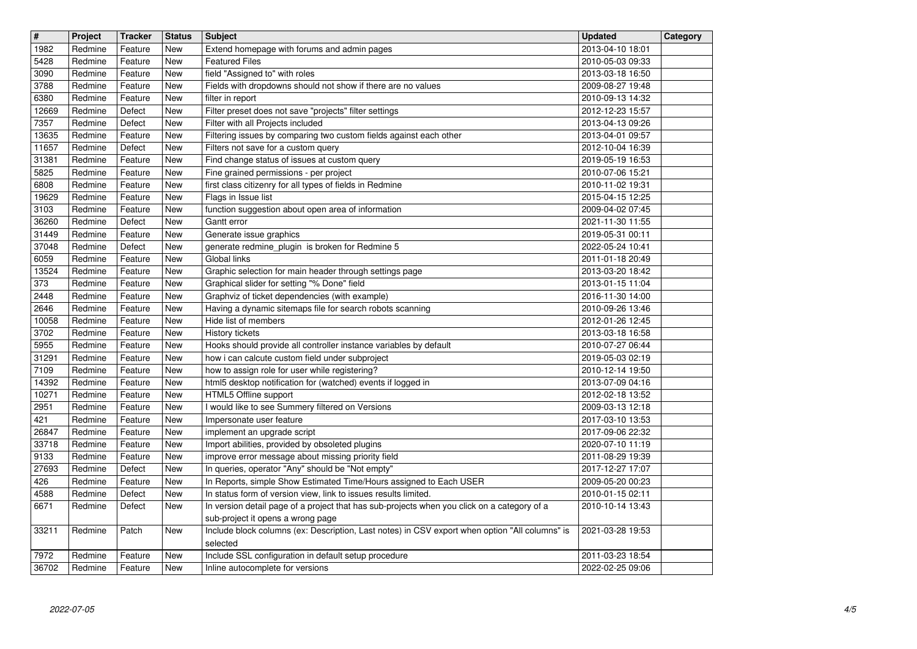| $\sqrt{t}$    | Project            | <b>Tracker</b>     | <b>Status</b> | <b>Subject</b>                                                                                                                      | <b>Updated</b>                       | Category |
|---------------|--------------------|--------------------|---------------|-------------------------------------------------------------------------------------------------------------------------------------|--------------------------------------|----------|
| 1982          | Redmine            | Feature            | New           | Extend homepage with forums and admin pages                                                                                         | 2013-04-10 18:01                     |          |
| 5428          | Redmine            | Feature            | <b>New</b>    | <b>Featured Files</b>                                                                                                               | 2010-05-03 09:33                     |          |
| 3090          | Redmine            | Feature            | New           | field "Assigned to" with roles                                                                                                      | 2013-03-18 16:50                     |          |
| 3788<br>6380  | Redmine<br>Redmine | Feature<br>Feature | New<br>New    | Fields with dropdowns should not show if there are no values<br>filter in report                                                    | 2009-08-27 19:48<br>2010-09-13 14:32 |          |
| 12669         | Redmine            | Defect             | New           | Filter preset does not save "projects" filter settings                                                                              | 2012-12-23 15:57                     |          |
| 7357          | Redmine            | Defect             | New           | Filter with all Projects included                                                                                                   | 2013-04-13 09:26                     |          |
| 13635         | Redmine            | Feature            | New           | Filtering issues by comparing two custom fields against each other                                                                  | 2013-04-01 09:57                     |          |
| 11657         | Redmine            | Defect             | New           | Filters not save for a custom query                                                                                                 | 2012-10-04 16:39                     |          |
| 31381         | Redmine            | Feature            | New           | Find change status of issues at custom query                                                                                        | 2019-05-19 16:53                     |          |
| 5825          | Redmine            | Feature            | New           | Fine grained permissions - per project                                                                                              | 2010-07-06 15:21                     |          |
| 6808<br>19629 | Redmine            | Feature            | New<br>New    | first class citizenry for all types of fields in Redmine                                                                            | 2010-11-02 19:31                     |          |
| 3103          | Redmine<br>Redmine | Feature<br>Feature | New           | Flags in Issue list<br>function suggestion about open area of information                                                           | 2015-04-15 12:25<br>2009-04-02 07:45 |          |
| 36260         | Redmine            | Defect             | <b>New</b>    | Gantt error                                                                                                                         | 2021-11-30 11:55                     |          |
| 31449         | Redmine            | Feature            | New           | Generate issue graphics                                                                                                             | 2019-05-31 00:11                     |          |
| 37048         | Redmine            | Defect             | New           | generate redmine_plugin_is broken for Redmine 5                                                                                     | 2022-05-24 10:41                     |          |
| 6059          | Redmine            | Feature            | New           | Global links                                                                                                                        | 2011-01-18 20:49                     |          |
| 13524         | Redmine            | Feature            | New           | Graphic selection for main header through settings page                                                                             | 2013-03-20 18:42                     |          |
| 373<br>2448   | Redmine<br>Redmine | Feature            | New<br>New    | Graphical slider for setting "% Done" field<br>Graphviz of ticket dependencies (with example)                                       | 2013-01-15 11:04<br>2016-11-30 14:00 |          |
| 2646          | Redmine            | Feature<br>Feature | New           | Having a dynamic sitemaps file for search robots scanning                                                                           | 2010-09-26 13:46                     |          |
| 10058         | Redmine            | Feature            | New           | Hide list of members                                                                                                                | 2012-01-26 12:45                     |          |
| 3702          | Redmine            | Feature            | New           | History tickets                                                                                                                     | 2013-03-18 16:58                     |          |
| 5955          | Redmine            | Feature            | New           | Hooks should provide all controller instance variables by default                                                                   | 2010-07-27 06:44                     |          |
| 31291         | Redmine            | Feature            | New           | how i can calcute custom field under subproject                                                                                     | 2019-05-03 02:19                     |          |
| 7109          | Redmine            | Feature            | New           | how to assign role for user while registering?                                                                                      | 2010-12-14 19:50                     |          |
| 14392         | Redmine            | Feature            | New           | html5 desktop notification for (watched) events if logged in                                                                        | 2013-07-09 04:16                     |          |
| 10271         | Redmine            | Feature            | New           | HTML5 Offline support                                                                                                               | 2012-02-18 13:52                     |          |
| 2951<br>421   | Redmine<br>Redmine | Feature<br>Feature | New<br>New    | I would like to see Summery filtered on Versions<br>Impersonate user feature                                                        | 2009-03-13 12:18<br>2017-03-10 13:53 |          |
| 26847         | Redmine            | Feature            | New           | implement an upgrade script                                                                                                         | 2017-09-06 22:32                     |          |
| 33718         | Redmine            | Feature            | New           | Import abilities, provided by obsoleted plugins                                                                                     | 2020-07-10 11:19                     |          |
| 9133          | Redmine            | Feature            | <b>New</b>    | improve error message about missing priority field                                                                                  | 2011-08-29 19:39                     |          |
| 27693         | Redmine            | Defect             | New           | In queries, operator "Any" should be "Not empty"                                                                                    | 2017-12-27 17:07                     |          |
| 426           | Redmine            | Feature            | New           | In Reports, simple Show Estimated Time/Hours assigned to Each USER                                                                  | 2009-05-20 00:23                     |          |
| 4588          | Redmine            | Defect             | New           | In status form of version view, link to issues results limited.                                                                     | 2010-01-15 02:11                     |          |
| 6671          | Redmine            | Defect             | <b>New</b>    | In version detail page of a project that has sub-projects when you click on a category of a                                         | 2010-10-14 13:43                     |          |
| 33211         | Redmine            | Patch              | New           | sub-project it opens a wrong page<br>Include block columns (ex: Description, Last notes) in CSV export when option "All columns" is | 2021-03-28 19:53                     |          |
|               |                    |                    |               | selected                                                                                                                            |                                      |          |
| 7972          | Redmine            | Feature            | New           | Include SSL configuration in default setup procedure                                                                                | 2011-03-23 18:54                     |          |
| 36702         | Redmine            | Feature            | New           | Inline autocomplete for versions                                                                                                    | 2022-02-25 09:06                     |          |
|               |                    |                    |               |                                                                                                                                     |                                      |          |
|               |                    |                    |               |                                                                                                                                     |                                      |          |
|               |                    |                    |               |                                                                                                                                     |                                      |          |
|               |                    |                    |               |                                                                                                                                     |                                      |          |
|               |                    |                    |               |                                                                                                                                     |                                      |          |
|               |                    |                    |               |                                                                                                                                     |                                      |          |
|               |                    |                    |               |                                                                                                                                     |                                      |          |
|               |                    |                    |               |                                                                                                                                     |                                      |          |
|               |                    |                    |               |                                                                                                                                     |                                      |          |
|               |                    |                    |               |                                                                                                                                     |                                      |          |
|               |                    |                    |               |                                                                                                                                     |                                      |          |
|               |                    |                    |               |                                                                                                                                     |                                      |          |
|               |                    |                    |               |                                                                                                                                     |                                      |          |